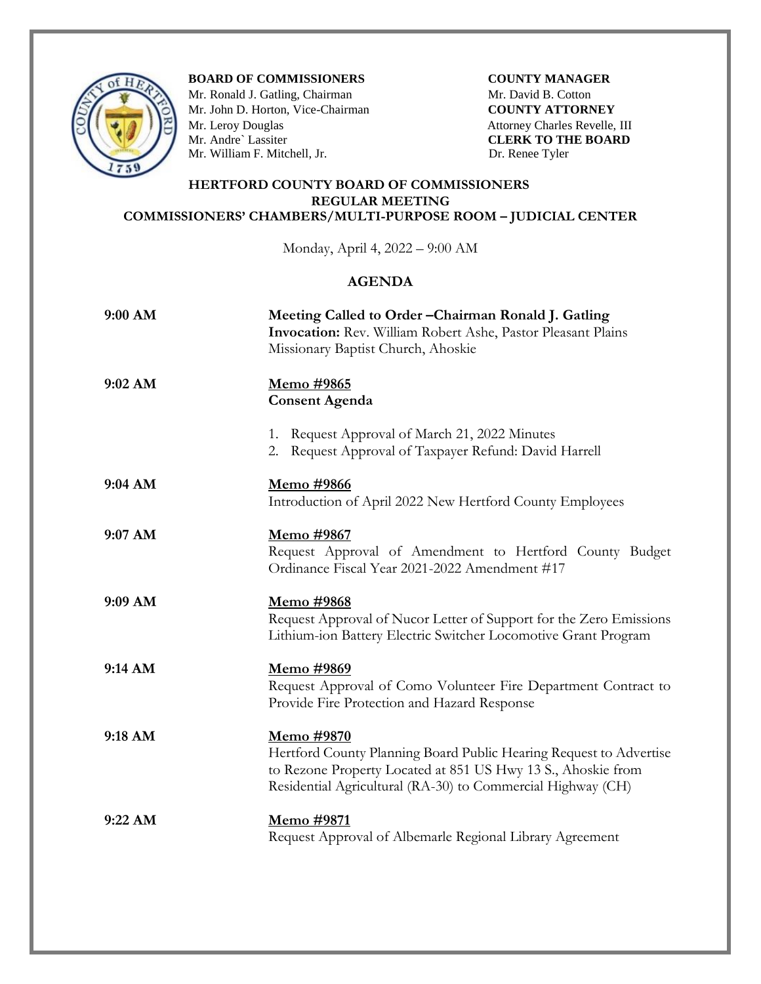

**BOARD OF COMMISSIONERS COUNTY MANAGER** 

Mr. Ronald J. Gatling, Chairman **Mr. David B. Cotton** Mr. John D. Horton, Vice-Chairman **COUNTY ATTORNEY** Mr. Leroy Douglas Attorney Charles Revelle, III Attorney Charles Revelle, III CLERK TO THE BOARD Mr. William F. Mitchell, Jr. Dr. Renee Tyler

**CLERK TO THE BOARD** 

## **HERTFORD COUNTY BOARD OF COMMISSIONERS REGULAR MEETING COMMISSIONERS' CHAMBERS/MULTI-PURPOSE ROOM – JUDICIAL CENTER**

Monday, April 4, 2022 – 9:00 AM

## **AGENDA**

| 9:00 AM   | Meeting Called to Order-Chairman Ronald J. Gatling<br>Invocation: Rev. William Robert Ashe, Pastor Pleasant Plains<br>Missionary Baptist Church, Ahoskie                                                               |
|-----------|------------------------------------------------------------------------------------------------------------------------------------------------------------------------------------------------------------------------|
| 9:02 AM   | Memo #9865<br><b>Consent Agenda</b>                                                                                                                                                                                    |
|           | 1. Request Approval of March 21, 2022 Minutes<br>2. Request Approval of Taxpayer Refund: David Harrell                                                                                                                 |
| 9:04 AM   | Memo #9866<br>Introduction of April 2022 New Hertford County Employees                                                                                                                                                 |
| $9:07$ AM | <u>Memo</u> #9867<br>Request Approval of Amendment to Hertford County Budget<br>Ordinance Fiscal Year 2021-2022 Amendment #17                                                                                          |
| 9:09 AM   | Memo #9868<br>Request Approval of Nucor Letter of Support for the Zero Emissions<br>Lithium-ion Battery Electric Switcher Locomotive Grant Program                                                                     |
| 9:14 AM   | Memo #9869<br>Request Approval of Como Volunteer Fire Department Contract to<br>Provide Fire Protection and Hazard Response                                                                                            |
| 9:18 AM   | <u>Memo #9870</u><br>Hertford County Planning Board Public Hearing Request to Advertise<br>to Rezone Property Located at 851 US Hwy 13 S., Ahoskie from<br>Residential Agricultural (RA-30) to Commercial Highway (CH) |
| 9:22 AM   | <u>Memo</u> #9871<br>Request Approval of Albemarle Regional Library Agreement                                                                                                                                          |